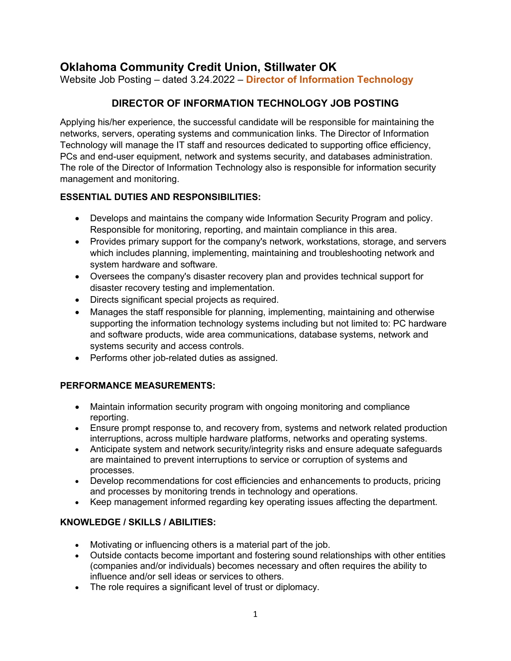# **Oklahoma Community Credit Union, Stillwater OK**

Website Job Posting – dated 3.24.2022 – **Director of Information Technology**

# **DIRECTOR OF INFORMATION TECHNOLOGY JOB POSTING**

Applying his/her experience, the successful candidate will be responsible for maintaining the networks, servers, operating systems and communication links. The Director of Information Technology will manage the IT staff and resources dedicated to supporting office efficiency, PCs and end-user equipment, network and systems security, and databases administration. The role of the Director of Information Technology also is responsible for information security management and monitoring.

### **ESSENTIAL DUTIES AND RESPONSIBILITIES:**

- Develops and maintains the company wide Information Security Program and policy. Responsible for monitoring, reporting, and maintain compliance in this area.
- Provides primary support for the company's network, workstations, storage, and servers which includes planning, implementing, maintaining and troubleshooting network and system hardware and software.
- Oversees the company's disaster recovery plan and provides technical support for disaster recovery testing and implementation.
- Directs significant special projects as required.
- Manages the staff responsible for planning, implementing, maintaining and otherwise supporting the information technology systems including but not limited to: PC hardware and software products, wide area communications, database systems, network and systems security and access controls.
- Performs other job-related duties as assigned.

## **PERFORMANCE MEASUREMENTS:**

- Maintain information security program with ongoing monitoring and compliance reporting.
- Ensure prompt response to, and recovery from, systems and network related production interruptions, across multiple hardware platforms, networks and operating systems.
- Anticipate system and network security/integrity risks and ensure adequate safeguards are maintained to prevent interruptions to service or corruption of systems and processes.
- Develop recommendations for cost efficiencies and enhancements to products, pricing and processes by monitoring trends in technology and operations.
- Keep management informed regarding key operating issues affecting the department.

### **KNOWLEDGE / SKILLS / ABILITIES:**

- Motivating or influencing others is a material part of the job.
- Outside contacts become important and fostering sound relationships with other entities (companies and/or individuals) becomes necessary and often requires the ability to influence and/or sell ideas or services to others.
- The role requires a significant level of trust or diplomacy.